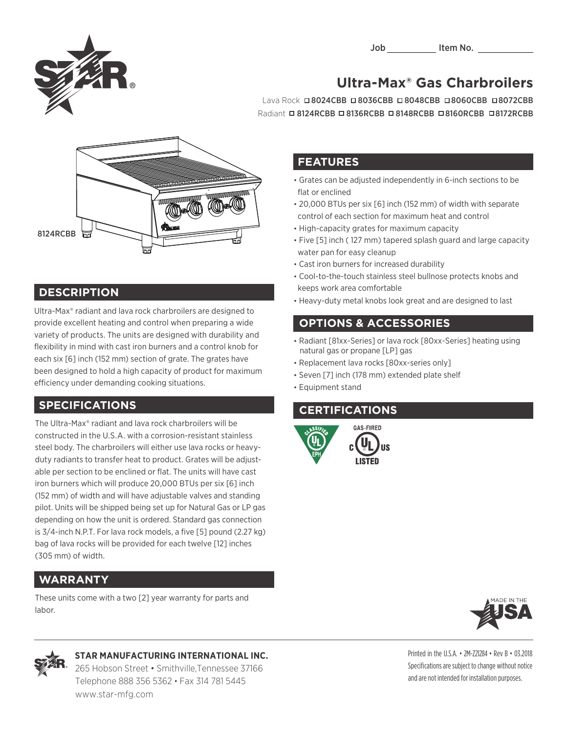

# Job \_\_\_\_\_\_\_ Item No. \_\_\_\_\_\_

**Ultra-Max® Gas Charbroilers** Lava Rock **08024CBB 08036CBB 08048CBB 08060CBB 08072CBB** 



### **DESCRIPTION**

Ultra-Max® radiant and lava rock charbroilers are designed to provide excellent heating and control when preparing a wide variety of products. The units are designed with durability and flexibility in mind with cast iron burners and a control knob for each six [6] inch (152 mm) section of grate. The grates have been designed to hold a high capacity of product for maximum efficiency under demanding cooking situations.

#### **SPECIFICATIONS**

The Ultra-Max® radiant and lava rock charbroilers will be constructed in the U.S.A. with a corrosion-resistant stainless steel body. The charbroilers will either use lava rocks or heavyduty radiants to transfer heat to product. Grates will be adjustable per section to be enclined or flat. The units will have cast iron burners which will produce 20,000 BTUs per six [6] inch (152 mm) of width and will have adjustable valves and standing pilot. Units will be shipped being set up for Natural Gas or LP gas depending on how the unit is ordered. Standard gas connection is 3/4-inch N.P.T. For lava rock models, a five [5] pound (2.27 kg) bag of lava rocks will be provided for each twelve [12] inches (305 mm) of width.

## **WARRANTY**

These units come with a two [2] year warranty for parts and labor.

#### **FEATURES**

• Grates can be adjusted independently in 6-inch sections to be flat or enclined

Radiant **¤ 8124RCBB ¤ 8136RCBB ¤ 8148RCBB ¤ 8160RCBB ¤ 8172RCBB** 

- 20,000 BTUs per six [6] inch (152 mm) of width with separate control of each section for maximum heat and control
- High-capacity grates for maximum capacity
- Five [5] inch ( 127 mm) tapered splash guard and large capacity water pan for easy cleanup
- Cast iron burners for increased durability
- Cool-to-the-touch stainless steel bullnose protects knobs and keeps work area comfortable
- Heavy-duty metal knobs look great and are designed to last

## • **OPTIONS & ACCESSORIES**

- Radiant [81xx-Series] or lava rock [80xx-Series] heating using natural gas or propane [LP] gas
- Replacement lava rocks [80xx-series only]
- Seven [7] inch (178 mm) extended plate shelf
- Equipment stand

## • **CERTIFICATIONS**







#### **STAR MANUFACTURING INTERNATIONAL INC.**

265 Hobson Street • Smithville,Tennessee 37166 Telephone 888 356 5362 • Fax 314 781 5445 www.star-mfg.com

Printed in the U.S.A. • 2M-Z21284 • Rev B • 03.2018 Specifications are subject to change without notice and are not intended for installation purposes.